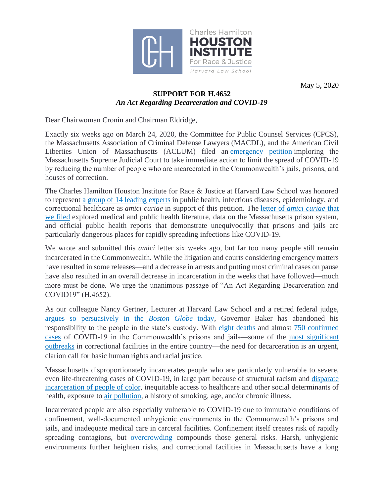

May 5, 2020

## **SUPPORT FOR H.4652** *An Act Regarding Decarceration and COVID-19*

Dear Chairwoman Cronin and Chairman Eldridge,

Exactly six weeks ago on March 24, 2020, the Committee for Public Counsel Services (CPCS), the Massachusetts Association of Criminal Defense Lawyers (MACDL), and the American Civil Liberties Union of Massachusetts (ACLUM) filed an [emergency petition](https://www.aclum.org/en/cases/committee-public-counsel-services-v-chief-justice-trial-court) imploring the Massachusetts Supreme Judicial Court to take immediate action to limit the spread of COVID-19 by reducing the number of people who are incarcerated in the Commonwealth's jails, prisons, and houses of correction.

The Charles Hamilton Houston Institute for Race & Justice at Harvard Law School was honored to represent [a group of](https://charleshamiltonhouston.org/news/2020/03/14-public-health-experts-advocate-for-releasing-people-from-jails-prisons/) 14 leading experts in public health, infectious diseases, epidemiology, and correctional healthcare as *amici curiae* in support of this petition. The letter of *[amici curiae](http://charleshamiltonhouston.org/wp-content/uploads/2020/03/Amici-Letter-Public-Health-Experts-CPCS-MACDL-v.-Chief-of-Trial-Court.pdf)* that [we filed](http://charleshamiltonhouston.org/wp-content/uploads/2020/03/Amici-Letter-Public-Health-Experts-CPCS-MACDL-v.-Chief-of-Trial-Court.pdf) explored medical and public health literature, data on the Massachusetts prison system, and official public health reports that demonstrate unequivocally that prisons and jails are particularly dangerous places for rapidly spreading infections like COVID-19.

We wrote and submitted this *amici* letter six weeks ago, but far too many people still remain incarcerated in the Commonwealth. While the litigation and courts considering emergency matters have resulted in some releases—and a decrease in arrests and putting most criminal cases on pause have also resulted in an overall decrease in incarceration in the weeks that have followed—much more must be done. We urge the unanimous passage of "An Act Regarding Decarceration and COVID19" (H.4652).

As our colleague Nancy Gertner, Lecturer at Harvard Law School and a retired federal judge, [argues so persuasively in the](https://www.bostonglobe.com/2020/05/05/opinion/coronavirus-can-mean-death-sentence-prisoners/?event=event25) *Boston Globe* today, Governor Baker has abandoned his responsibility to the people in the state's custody. With [eight deaths](https://www.wgbh.org/news/local-news/2020/04/30/first-county-jail-inmate-dies-of-covid-complications) and almost [750 confirmed](https://data.aclum.org/sjc-12926-tracker/)  [cases](https://data.aclum.org/sjc-12926-tracker/) of COVID-19 in the Commonwealth's prisons and jails—some of the [most significant](https://www.wbur.org/investigations/2020/04/28/coronavirus-prisons-jails-massachusetts-deaths-cases)  [outbreaks](https://www.wbur.org/investigations/2020/04/28/coronavirus-prisons-jails-massachusetts-deaths-cases) in correctional facilities in the entire country—the need for decarceration is an urgent, clarion call for basic human rights and racial justice.

Massachusetts disproportionately incarcerates people who are particularly vulnerable to severe, even life-threatening cases of COVID-19, in large part because of structural racism and [disparate](https://www.mass.gov/files/documents/2016/09/tu/selected-race-statistics.pdf#page=3)  incarceration [of people of color,](https://www.mass.gov/files/documents/2016/09/tu/selected-race-statistics.pdf#page=3) inequitable access to healthcare and other social determinants of health, exposure to [air pollution,](https://www.bostonglobe.com/2020/04/29/metro/pollution-might-affect-states-covid-19-hotspots-harvard-study-shows/) a history of smoking, age, and/or chronic illness.

Incarcerated people are also especially vulnerable to COVID-19 due to immutable conditions of confinement, well-documented unhygienic environments in the Commonwealth's prisons and jails, and inadequate medical care in carceral facilities. Confinement itself creates risk of rapidly spreading contagions, but [overcrowding](https://www.mass.gov/doc/prison-capacity-first-quarter-2020/download) compounds those general risks. Harsh, unhygienic environments further heighten risks, and correctional facilities in Massachusetts have a long